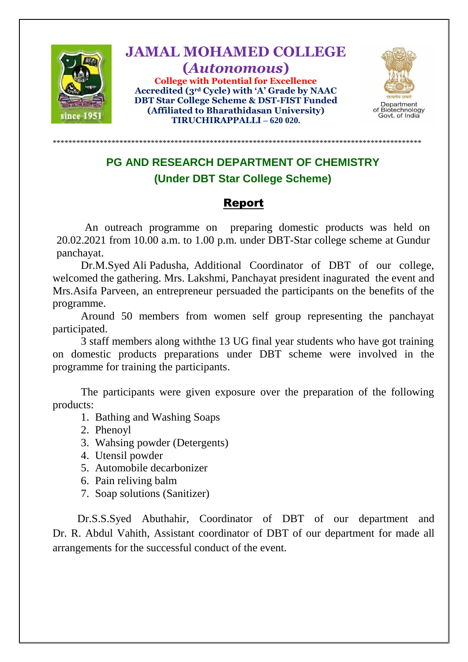

**JAMAL MOHAMED COLLEGE (***Autonomous***) College with Potential for Excellence Accredited (3rd Cycle) with 'A' Grade by NAAC DBT Star College Scheme & DST-FIST Funded (Affiliated to Bharathidasan University) TIRUCHIRAPPALLI – 620 020.**



## **PG AND RESEARCH DEPARTMENT OF CHEMISTRY (Under DBT Star College Scheme)**

\*\*\*\*\*\*\*\*\*\*\*\*\*\*\*\*\*\*\*\*\*\*\*\*\*\*\*\*\*\*\*\*\*\*\*\*\*\*\*\*\*\*\*\*\*\*\*\*\*\*\*\*\*\*\*\*\*\*\*\*\*\*\*\*\*\*\*\*\*\*\*\*\*\*\*\*\*\*\*\*\*\*\*\*\*\*\*\*\*\*\*\*\*\*

## Report

An outreach programme on preparing domestic products was held on 20.02.2021 from 10.00 a.m. to 1.00 p.m. under DBT-Star college scheme at Gundur panchayat.

Dr.M.Syed Ali Padusha, Additional Coordinator of DBT of our college, welcomed the gathering. Mrs. Lakshmi, Panchayat president inagurated the event and Mrs.Asifa Parveen, an entrepreneur persuaded the participants on the benefits of the programme.

Around 50 members from women self group representing the panchayat participated.

3 staff members along withthe 13 UG final year students who have got training on domestic products preparations under DBT scheme were involved in the programme for training the participants.

The participants were given exposure over the preparation of the following products:

- 1. Bathing and Washing Soaps
- 2. Phenoyl
- 3. Wahsing powder (Detergents)
- 4. Utensil powder
- 5. Automobile decarbonizer
- 6. Pain reliving balm
- 7. Soap solutions (Sanitizer)

 Dr.S.S.Syed Abuthahir, Coordinator of DBT of our department and Dr. R. Abdul Vahith, Assistant coordinator of DBT of our department for made all arrangements for the successful conduct of the event.